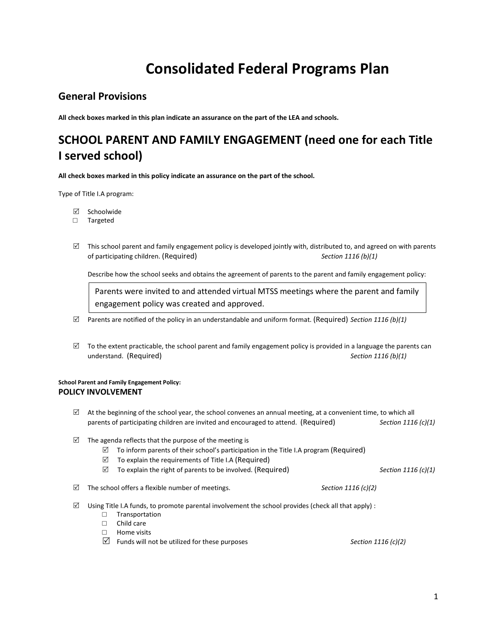# **Consolidated Federal Programs Plan**

## **General Provisions**

**All check boxes marked in this plan indicate an assurance on the part of the LEA and schools.** 

## **SCHOOL PARENT AND FAMILY ENGAGEMENT (need one for each Title I served school)**

**All check boxes marked in this policy indicate an assurance on the part of the school.** 

Type of Title I.A program:

- $\boxtimes$  Schoolwide
- □ Targeted
- $\boxtimes$  This school parent and family engagement policy is developed jointly with, distributed to, and agreed on with parents of participating children. (Required) *Section 1116 (b)(1)*

Describe how the school seeks and obtains the agreement of parents to the parent and family engagement policy:

Parents were invited to and attended virtual MTSS meetings where the parent and family engagement policy was created and approved.

- $\boxtimes$  Parents are notified of the policy in an understandable and uniform format. (Required) *Section 1116 (b)(1)*
- $\boxtimes$  To the extent practicable, the school parent and family engagement policy is provided in a language the parents can understand. (Required) *Section 1116 (b)(1)*

## **School Parent and Family Engagement Policy: POLICY INVOLVEMENT**

- $\boxtimes$  At the beginning of the school year, the school convenes an annual meeting, at a convenient time, to which all parents of participating children are invited and encouraged to attend. (Required) *Section 1116 (c)(1)*
- $\boxtimes$  The agenda reflects that the purpose of the meeting is
	- $\boxtimes$  To inform parents of their school's participation in the Title I.A program (Required)
	- $\triangledown$  To explain the requirements of Title I.A (Required)
	- $\boxtimes$  To explain the right of parents to be involved. (Required) *Section 1116 (c)(1)*
- $\boxtimes$  The school offers a flexible number of meetings. **Section 1116** (c)(2)
- $\boxtimes$  Using Title I.A funds, to promote parental involvement the school provides (check all that apply) :
	- □ Transportation
	- □ Child care
	- □ Home visits
	- **Funds will not be utilized for these purposes** *Section 1116 (c)(2)*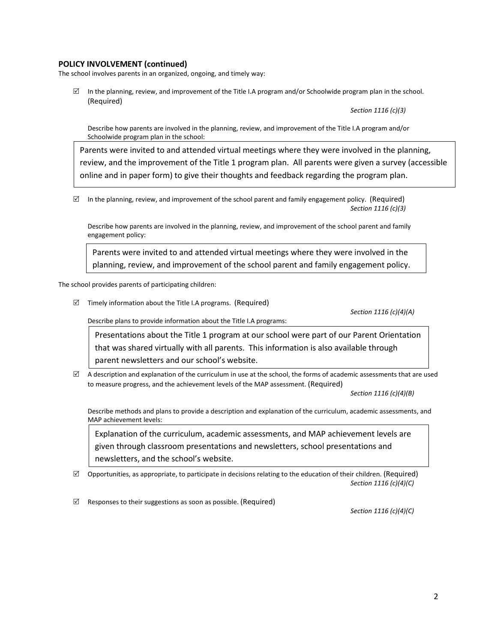## **POLICY INVOLVEMENT (continued)**

The school involves parents in an organized, ongoing, and timely way:

 $\boxtimes$  In the planning, review, and improvement of the Title I.A program and/or Schoolwide program plan in the school. (Required)

*Section 1116 (c)(3)*

Describe how parents are involved in the planning, review, and improvement of the Title I.A program and/or Schoolwide program plan in the school:

Parents were invited to and attended virtual meetings where they were involved in the planning, review, and the improvement of the Title 1 program plan. All parents were given a survey (accessible online and in paper form) to give their thoughts and feedback regarding the program plan.

 $\boxtimes$  In the planning, review, and improvement of the school parent and family engagement policy. (Required) *Section 1116 (c)(3)*

Describe how parents are involved in the planning, review, and improvement of the school parent and family engagement policy:

Parents were invited to and attended virtual meetings where they were involved in the planning, review, and improvement of the school parent and family engagement policy.

The school provides parents of participating children:

 $\boxtimes$  Timely information about the Title I.A programs. (Required)

*Section 1116 (c)(4)(A)*

Describe plans to provide information about the Title I.A programs:

Presentations about the Title 1 program at our school were part of our Parent Orientation that was shared virtually with all parents. This information is also available through parent newsletters and our school's website.

 $\boxtimes$  A description and explanation of the curriculum in use at the school, the forms of academic assessments that are used to measure progress, and the achievement levels of the MAP assessment. (Required)

*Section 1116 (c)(4)(B)*

Describe methods and plans to provide a description and explanation of the curriculum, academic assessments, and MAP achievement levels:

Explanation of the curriculum, academic assessments, and MAP achievement levels are given through classroom presentations and newsletters, school presentations and newsletters, and the school's website.

 $\boxtimes$  Opportunities, as appropriate, to participate in decisions relating to the education of their children. (Required) *Section 1116 (c)(4)(C)*

 $\boxtimes$  Responses to their suggestions as soon as possible. (Required)

*Section 1116 (c)(4)(C)*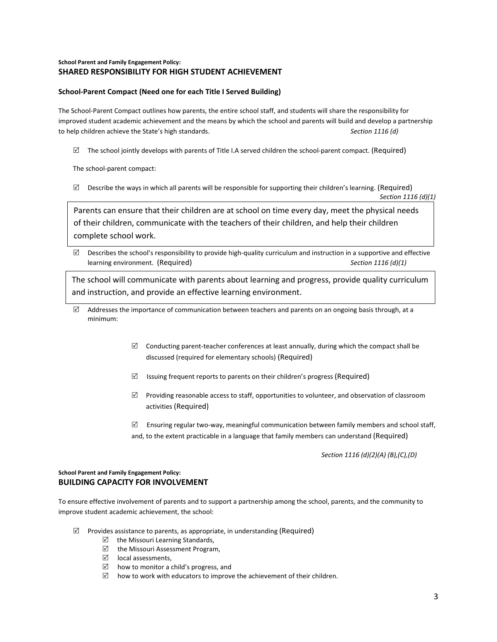## **School Parent and Family Engagement Policy: SHARED RESPONSIBILITY FOR HIGH STUDENT ACHIEVEMENT**

#### **School-Parent Compact (Need one for each Title I Served Building)**

The School-Parent Compact outlines how parents, the entire school staff, and students will share the responsibility for improved student academic achievement and the means by which the school and parents will build and develop a partnership to help children achieve the State's high standards. *Section 1116 (d)*

 $\boxtimes$  The school jointly develops with parents of Title I.A served children the school-parent compact. (Required)

The school-parent compact:

 $\boxtimes$  Describe the ways in which all parents will be responsible for supporting their children's learning. (Required) *Section 1116 (d)(1)*

Parents can ensure that their children are at school on time every day, meet the physical needs of their children, communicate with the teachers of their children, and help their children complete school work.

 $\boxtimes$  Describes the school's responsibility to provide high-quality curriculum and instruction in a supportive and effective learning environment. (Required) *Section 1116 (d)(1)*

The school will communicate with parents about learning and progress, provide quality curriculum and instruction, and provide an effective learning environment.

- $\boxtimes$  Addresses the importance of communication between teachers and parents on an ongoing basis through, at a minimum:
	- $\boxtimes$  Conducting parent-teacher conferences at least annually, during which the compact shall be discussed (required for elementary schools) (Required)
	- $\boxtimes$  Issuing frequent reports to parents on their children's progress (Required)
	- $\boxtimes$  Providing reasonable access to staff, opportunities to volunteer, and observation of classroom activities (Required)
	- Ensuring regular two-way, meaningful communication between family members and school staff, and, to the extent practicable in a language that family members can understand (Required)

*Section 1116 (d)(2)(A) (B),(C),(D)*

#### **School Parent and Family Engagement Policy: BUILDING CAPACITY FOR INVOLVEMENT**

To ensure effective involvement of parents and to support a partnership among the school, parents, and the community to improve student academic achievement, the school:

- $\boxtimes$  Provides assistance to parents, as appropriate, in understanding (Required)
	- $\triangledown$  the Missouri Learning Standards,
	- $\boxtimes$  the Missouri Assessment Program,
	- $\boxtimes$  local assessments,
	- $\boxtimes$  how to monitor a child's progress, and
	- $\boxtimes$  how to work with educators to improve the achievement of their children.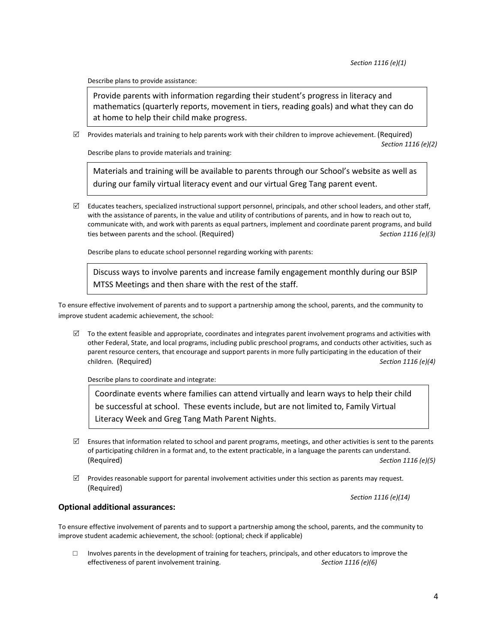Describe plans to provide assistance:

Provide parents with information regarding their student's progress in literacy and mathematics (quarterly reports, movement in tiers, reading goals) and what they can do at home to help their child make progress.

 $\boxtimes$  Provides materials and training to help parents work with their children to improve achievement. (Required) *Section 1116 (e)(2)*

Describe plans to provide materials and training:

Materials and training will be available to parents through our School's website as well as during our family virtual literacy event and our virtual Greg Tang parent event.

 $\boxtimes$  Educates teachers, specialized instructional support personnel, principals, and other school leaders, and other staff, with the assistance of parents, in the value and utility of contributions of parents, and in how to reach out to, communicate with, and work with parents as equal partners, implement and coordinate parent programs, and build ties between parents and the school. (Required) *Section 1116 (e)(3)*

Describe plans to educate school personnel regarding working with parents:

Discuss ways to involve parents and increase family engagement monthly during our BSIP MTSS Meetings and then share with the rest of the staff.

To ensure effective involvement of parents and to support a partnership among the school, parents, and the community to improve student academic achievement, the school:

 $\boxtimes$  To the extent feasible and appropriate, coordinates and integrates parent involvement programs and activities with other Federal, State, and local programs, including public preschool programs, and conducts other activities, such as parent resource centers, that encourage and support parents in more fully participating in the education of their children. (Required) *Section 1116 (e)(4)*

Describe plans to coordinate and integrate:

Coordinate events where families can attend virtually and learn ways to help their child be successful at school. These events include, but are not limited to, Family Virtual Literacy Week and Greg Tang Math Parent Nights.

- $\boxtimes$  Ensures that information related to school and parent programs, meetings, and other activities is sent to the parents of participating children in a format and, to the extent practicable, in a language the parents can understand. (Required) *Section 1116 (e)(5)*
- $\boxtimes$  Provides reasonable support for parental involvement activities under this section as parents may request. (Required)

*Section 1116 (e)(14)*

#### **Optional additional assurances:**

To ensure effective involvement of parents and to support a partnership among the school, parents, and the community to improve student academic achievement, the school: (optional; check if applicable)

□ Involves parents in the development of training for teachers, principals, and other educators to improve the effectiveness of parent involvement training. Section 1116 (e)(6) effectiveness of parent involvement training.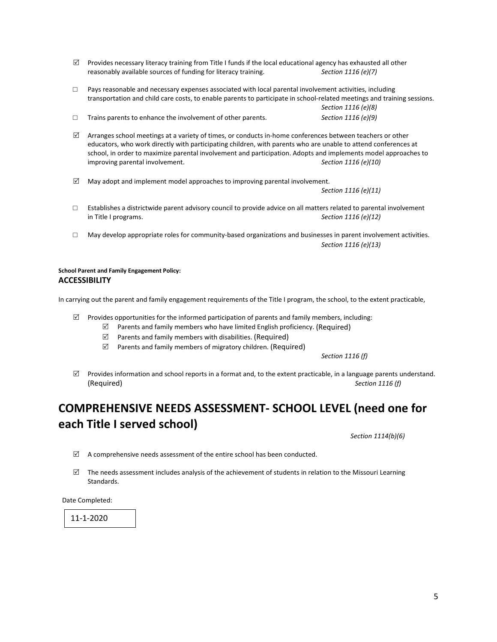- $\boxtimes$  Provides necessary literacy training from Title I funds if the local educational agency has exhausted all other reasonably available sources of funding for literacy training. *Section 1116 (e)(7)*
- $\square$  Pays reasonable and necessary expenses associated with local parental involvement activities, including transportation and child care costs, to enable parents to participate in school-related meetings and training sessions. *Section 1116 (e)(8)*
- □ Trains parents to enhance the involvement of other parents. *Section 1116 (e)(9)*
- $\boxtimes$  Arranges school meetings at a variety of times, or conducts in-home conferences between teachers or other educators, who work directly with participating children, with parents who are unable to attend conferences at school, in order to maximize parental involvement and participation. Adopts and implements model approaches to improving parental involvement. *Section 1116 (e)(10)*
- $\boxtimes$  May adopt and implement model approaches to improving parental involvement.

*Section 1116 (e)(11)*

- □ Establishes a districtwide parent advisory council to provide advice on all matters related to parental involvement<br>
in Title I programs.<br>
Section 1116 (e)(12) Section 1116 (e)(12)
- □ May develop appropriate roles for community-based organizations and businesses in parent involvement activities. *Section 1116 (e)(13)*

#### **School Parent and Family Engagement Policy: ACCESSIBILITY**

In carrying out the parent and family engagement requirements of the Title I program, the school, to the extent practicable,

- $\boxtimes$  Provides opportunities for the informed participation of parents and family members, including:
	- $\boxtimes$  Parents and family members who have limited English proficiency. (Required)
	- $\boxtimes$  Parents and family members with disabilities. (Required)
	- $\boxtimes$  Parents and family members of migratory children. (Required)

*Section 1116 (f)*

 $\boxtimes$  Provides information and school reports in a format and, to the extent practicable, in a language parents understand. (Required) *Section 1116 (f)*

## **COMPREHENSIVE NEEDS ASSESSMENT- SCHOOL LEVEL (need one for each Title I served school)**

*Section 1114(b)(6)* 

- $\boxtimes$  A comprehensive needs assessment of the entire school has been conducted.
- $\boxtimes$  The needs assessment includes analysis of the achievement of students in relation to the Missouri Learning Standards.

Date Completed:

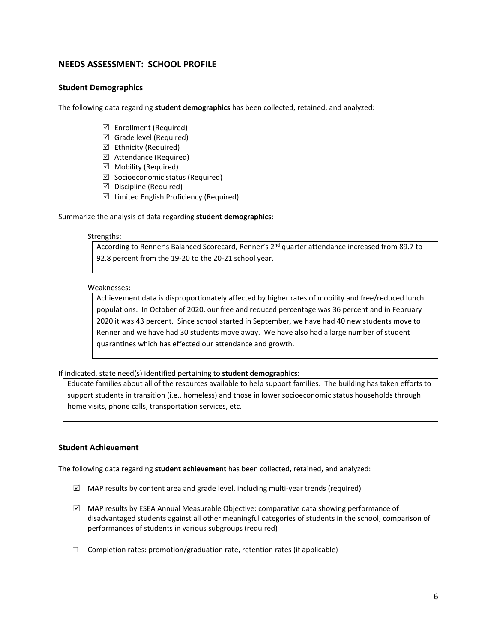## **NEEDS ASSESSMENT: SCHOOL PROFILE**

## **Student Demographics**

The following data regarding **student demographics** has been collected, retained, and analyzed:

- $\boxtimes$  Enrollment (Required)
- $\boxtimes$  Grade level (Required)
- $\boxtimes$  Ethnicity (Required)
- $\boxtimes$  Attendance (Required)
- $\boxtimes$  Mobility (Required)
- $\boxtimes$  Socioeconomic status (Required)
- $\boxtimes$  Discipline (Required)
- $\triangledown$  Limited English Proficiency (Required)

#### Summarize the analysis of data regarding **student demographics**:

#### Strengths:

According to Renner's Balanced Scorecard, Renner's 2<sup>nd</sup> quarter attendance increased from 89.7 to 92.8 percent from the 19-20 to the 20-21 school year.

#### Weaknesses:

Achievement data is disproportionately affected by higher rates of mobility and free/reduced lunch populations. In October of 2020, our free and reduced percentage was 36 percent and in February 2020 it was 43 percent. Since school started in September, we have had 40 new students move to Renner and we have had 30 students move away. We have also had a large number of student quarantines which has effected our attendance and growth.

If indicated, state need(s) identified pertaining to **student demographics**:

Educate families about all of the resources available to help support families. The building has taken efforts to support students in transition (i.e., homeless) and those in lower socioeconomic status households through home visits, phone calls, transportation services, etc.

## **Student Achievement**

The following data regarding **student achievement** has been collected, retained, and analyzed:

- $\boxtimes$  MAP results by content area and grade level, including multi-year trends (required)
- $\boxtimes$  MAP results by ESEA Annual Measurable Objective: comparative data showing performance of disadvantaged students against all other meaningful categories of students in the school; comparison of performances of students in various subgroups (required)
- $\Box$  Completion rates: promotion/graduation rate, retention rates (if applicable)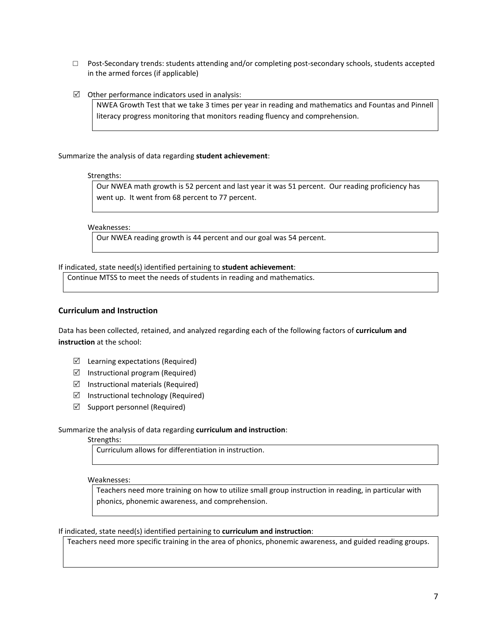- $\Box$  Post-Secondary trends: students attending and/or completing post-secondary schools, students accepted in the armed forces (if applicable)
- $\boxtimes$  Other performance indicators used in analysis:

NWEA Growth Test that we take 3 times per year in reading and mathematics and Fountas and Pinnell literacy progress monitoring that monitors reading fluency and comprehension.

Summarize the analysis of data regarding **student achievement**:

Strengths:

Our NWEA math growth is 52 percent and last year it was 51 percent. Our reading proficiency has went up. It went from 68 percent to 77 percent.

Weaknesses:

Our NWEA reading growth is 44 percent and our goal was 54 percent.

If indicated, state need(s) identified pertaining to **student achievement**:

Continue MTSS to meet the needs of students in reading and mathematics.

## **Curriculum and Instruction**

Data has been collected, retained, and analyzed regarding each of the following factors of **curriculum and instruction** at the school:

- $\boxtimes$  Learning expectations (Required)
- $\boxtimes$  Instructional program (Required)
- $\triangledown$  Instructional materials (Required)
- $\triangledown$  Instructional technology (Required)
- $\boxtimes$  Support personnel (Required)

#### Summarize the analysis of data regarding **curriculum and instruction**:

#### Strengths:

Curriculum allows for differentiation in instruction.

Weaknesses:

Teachers need more training on how to utilize small group instruction in reading, in particular with phonics, phonemic awareness, and comprehension.

## If indicated, state need(s) identified pertaining to **curriculum and instruction**:

Teachers need more specific training in the area of phonics, phonemic awareness, and guided reading groups.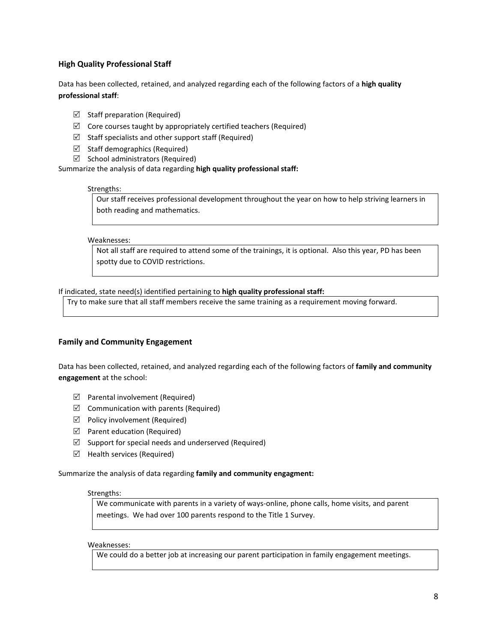## **High Quality Professional Staff**

Data has been collected, retained, and analyzed regarding each of the following factors of a **high quality professional staff**:

- $\boxtimes$  Staff preparation (Required)
- $\boxtimes$  Core courses taught by appropriately certified teachers (Required)
- $\boxtimes$  Staff specialists and other support staff (Required)
- $\boxtimes$  Staff demographics (Required)
- $\boxtimes$  School administrators (Required)

Summarize the analysis of data regarding **high quality professional staff:** 

#### Strengths:

Our staff receives professional development throughout the year on how to help striving learners in both reading and mathematics.

#### Weaknesses:

Not all staff are required to attend some of the trainings, it is optional. Also this year, PD has been spotty due to COVID restrictions.

If indicated, state need(s) identified pertaining to **high quality professional staff:**

Try to make sure that all staff members receive the same training as a requirement moving forward.

## **Family and Community Engagement**

Data has been collected, retained, and analyzed regarding each of the following factors of **family and community engagement** at the school:

- $\boxtimes$  Parental involvement (Required)
- $\boxtimes$  Communication with parents (Required)
- $\triangledown$  Policy involvement (Required)
- $\boxtimes$  Parent education (Required)
- $\boxtimes$  Support for special needs and underserved (Required)
- $\boxtimes$  Health services (Required)

Summarize the analysis of data regarding **family and community engagment:** 

#### Strengths:

We communicate with parents in a variety of ways-online, phone calls, home visits, and parent meetings. We had over 100 parents respond to the Title 1 Survey.

Weaknesses:

We could do a better job at increasing our parent participation in family engagement meetings.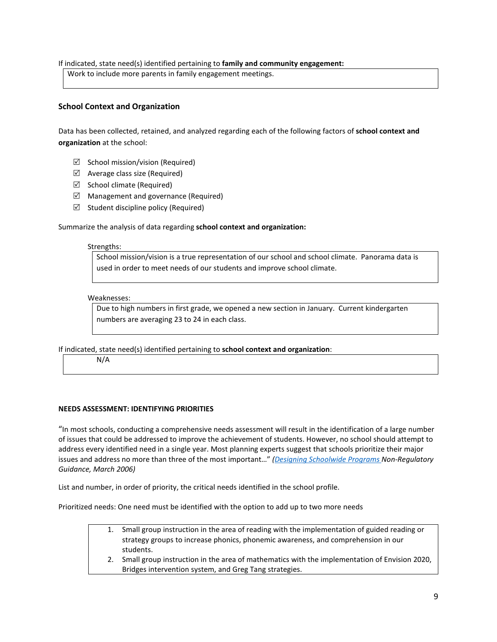If indicated, state need(s) identified pertaining to **family and community engagement:**

Work to include more parents in family engagement meetings.

## **School Context and Organization**

Data has been collected, retained, and analyzed regarding each of the following factors of **school context and organization** at the school:

- $\boxtimes$  School mission/vision (Required)
- $\boxtimes$  Average class size (Required)
- $\boxtimes$  School climate (Required)
- $\boxtimes$  Management and governance (Required)
- $\boxtimes$  Student discipline policy (Required)

#### Summarize the analysis of data regarding **school context and organization:**

#### Strengths:

School mission/vision is a true representation of our school and school climate. Panorama data is used in order to meet needs of our students and improve school climate.

#### Weaknesses:

Due to high numbers in first grade, we opened a new section in January. Current kindergarten numbers are averaging 23 to 24 in each class.

If indicated, state need(s) identified pertaining to **school context and organization**:

N/A

## **NEEDS ASSESSMENT: IDENTIFYING PRIORITIES**

"In most schools, conducting a comprehensive needs assessment will result in the identification of a large number of issues that could be addressed to improve the achievement of students. However, no school should attempt to address every identified need in a single year. Most planning experts suggest that schools prioritize their major issues and address no more than three of the most important…" *[\(Designing Schoolwide Programs](http://dese.mo.gov/sites/default/files/Schoolwide_Plan_03_06.pdf) Non-Regulatory Guidance, March 2006)*

List and number, in order of priority, the critical needs identified in the school profile.

Prioritized needs: One need must be identified with the option to add up to two more needs

- 1. Small group instruction in the area of reading with the implementation of guided reading or strategy groups to increase phonics, phonemic awareness, and comprehension in our students.
- 2. Small group instruction in the area of mathematics with the implementation of Envision 2020, Bridges intervention system, and Greg Tang strategies.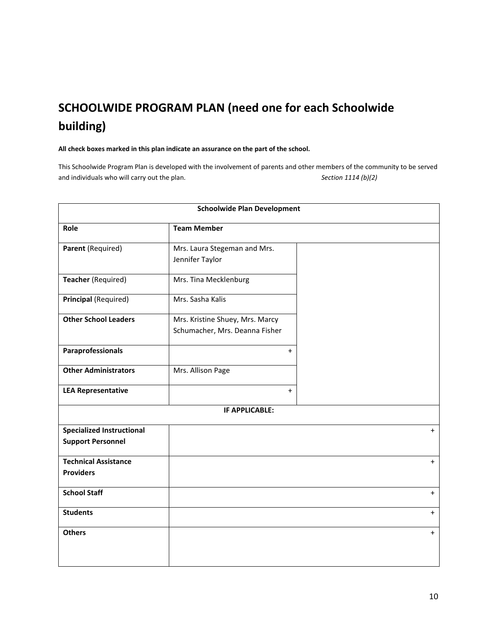# **SCHOOLWIDE PROGRAM PLAN (need one for each Schoolwide building)**

**All check boxes marked in this plan indicate an assurance on the part of the school.** 

This Schoolwide Program Plan is developed with the involvement of parents and other members of the community to be served and individuals who will carry out the plan. *Section 1114 (b)(2)*

| <b>Schoolwide Plan Development</b>                           |                                                                   |           |  |  |  |
|--------------------------------------------------------------|-------------------------------------------------------------------|-----------|--|--|--|
| Role                                                         | <b>Team Member</b>                                                |           |  |  |  |
| Parent (Required)                                            | Mrs. Laura Stegeman and Mrs.<br>Jennifer Taylor                   |           |  |  |  |
| Teacher (Required)                                           | Mrs. Tina Mecklenburg                                             |           |  |  |  |
| Principal (Required)                                         | Mrs. Sasha Kalis                                                  |           |  |  |  |
| <b>Other School Leaders</b>                                  | Mrs. Kristine Shuey, Mrs. Marcy<br>Schumacher, Mrs. Deanna Fisher |           |  |  |  |
| Paraprofessionals                                            | $+$                                                               |           |  |  |  |
| <b>Other Administrators</b>                                  | Mrs. Allison Page                                                 |           |  |  |  |
| <b>LEA Representative</b>                                    | $\ddot{}$                                                         |           |  |  |  |
|                                                              | IF APPLICABLE:                                                    |           |  |  |  |
| <b>Specialized Instructional</b><br><b>Support Personnel</b> |                                                                   | $+$       |  |  |  |
| <b>Technical Assistance</b><br><b>Providers</b>              |                                                                   | $\ddot{}$ |  |  |  |
| <b>School Staff</b>                                          |                                                                   | $\ddot{}$ |  |  |  |
| <b>Students</b>                                              |                                                                   | $+$       |  |  |  |
| <b>Others</b>                                                |                                                                   | $+$       |  |  |  |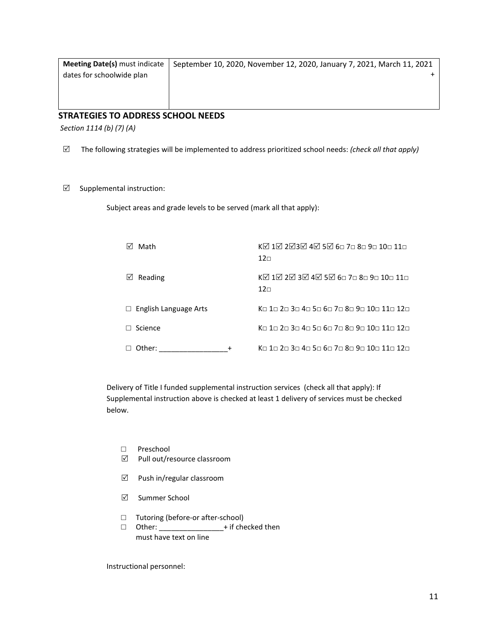| <b>Meeting Date(s)</b> must indicate | September 10, 2020, November 12, 2020, January 7, 2021, March 11, 2021 |
|--------------------------------------|------------------------------------------------------------------------|
| dates for schoolwide plan            |                                                                        |
|                                      |                                                                        |
|                                      |                                                                        |
|                                      |                                                                        |

## **STRATEGIES TO ADDRESS SCHOOL NEEDS**

*Section 1114 (b) (7) (A)*

- The following strategies will be implemented to address prioritized school needs: *(check all that apply)*
- $\boxtimes$  Supplemental instruction:

Subject areas and grade levels to be served (mark all that apply):

| Math                         | KØ 1Ø 2Ø3Ø 4Ø 5Ø 6□ 7□ 8□ 9□ 10□ 11□<br>12 <sub>⊓</sub>                                                                                              |
|------------------------------|------------------------------------------------------------------------------------------------------------------------------------------------------|
| Reading<br>⋈                 | KØ 1Ø 2Ø 3Ø 4Ø 5Ø 6⊓ 7⊓ 8⊓ 9⊓ 10⊓ 11⊓<br>12 <sub>⊓</sub>                                                                                             |
| $\Box$ English Language Arts | Ko 1a 2a 3a 4a 5a 6a 7a 8a 9a 10⊓ 11⊓ 12⊓                                                                                                            |
| Science                      | $\mathsf{Kn}$ 1 $\sqcap$ 2 $\sqcap$ 3 $\sqcap$ 4 $\sqcap$ 5 $\sqcap$ 6 $\sqcap$ 7 $\sqcap$ 8 $\sqcap$ 9 $\sqcap$ 10 $\sqcap$ 11 $\sqcap$ 12 $\sqcap$ |
| Other:                       | $\mathsf{Kn}$ 1 $\sqcap$ 2 $\sqcap$ 3 $\sqcap$ 4 $\sqcap$ 5 $\sqcap$ 6 $\sqcap$ 7 $\sqcap$ 8 $\sqcap$ 9 $\sqcap$ 10 $\sqcap$ 11 $\sqcap$ 12 $\sqcap$ |

Delivery of Title I funded supplemental instruction services (check all that apply): If Supplemental instruction above is checked at least 1 delivery of services must be checked below.

- □ Preschool
- $\boxtimes$  Pull out/resource classroom
- $\boxtimes$  Push in/regular classroom
- **⊠** Summer School
- □ Tutoring (before-or after-school)<br>□ Other: \_\_\_\_\_\_\_\_\_\_\_\_\_\_\_\_+ if che
- $-$  + if checked then must have text on line

Instructional personnel: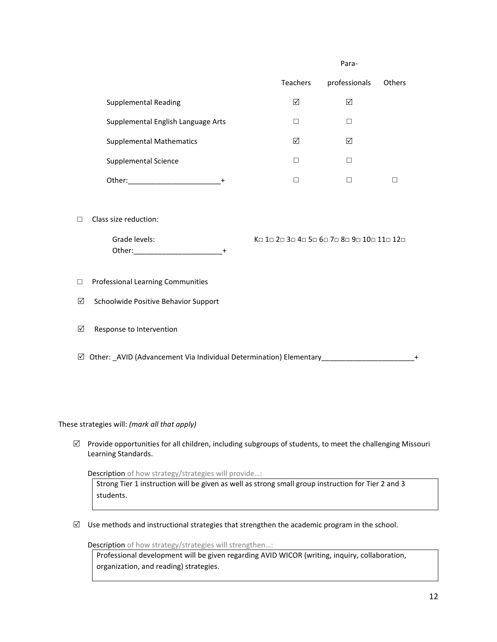|                                    | Para-           |               |               |
|------------------------------------|-----------------|---------------|---------------|
|                                    | <b>Teachers</b> | professionals | <b>Others</b> |
| Supplemental Reading               | ☑               | ⊠             |               |
| Supplemental English Language Arts | - 1             | г             |               |
| <b>Supplemental Mathematics</b>    | ☑               | ⊠             |               |
| Supplemental Science               | $\mathcal{A}$   | г             |               |
| Other:<br>+                        |                 |               |               |
|                                    |                 |               |               |

□ Class size reduction:

Other:  $+$ 

Grade levels: 
(Grade levels:  $K \Box 1 \Box 2 \Box 3 \Box 4 \Box 5 \Box 6 \Box 7 \Box 8 \Box 9 \Box 11 \Box 12 \Box$ 

## □ Professional Learning Communities

 $\boxtimes$  Schoolwide Positive Behavior Support

 $\boxtimes$  Response to Intervention

 $\boxtimes$  Other: \_AVID (Advancement Via Individual Determination) Elementary\_\_\_\_\_\_\_\_\_\_\_\_\_\_\_\_\_\_\_\_\_\_\_\_\_\_+

These strategies will: *(mark all that apply)* 

 $\boxtimes$  Provide opportunities for all children, including subgroups of students, to meet the challenging Missouri Learning Standards.

Description of how strategy/strategies will provide…:

Strong Tier 1 instruction will be given as well as strong small group instruction for Tier 2 and 3 students.

 $\boxtimes$  Use methods and instructional strategies that strengthen the academic program in the school.

Description of how strategy/strategies will strengthen…:

Professional development will be given regarding AVID WICOR (writing, inquiry, collaboration, organization, and reading) strategies.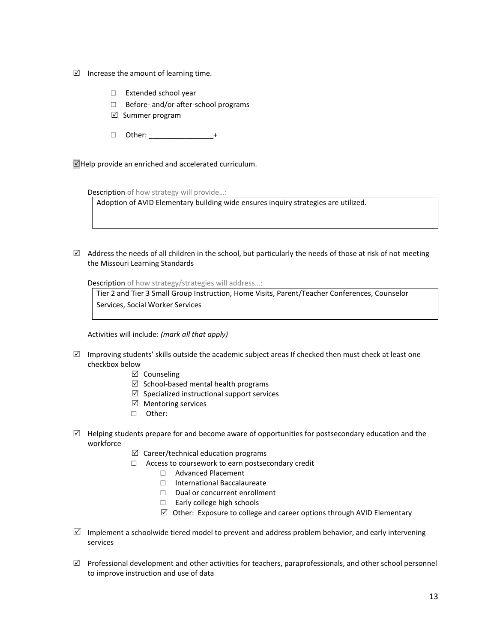- $\boxtimes$  Increase the amount of learning time.
	- □ Extended school year
	- □ Before- and/or after-school programs
	- $\boxtimes$  Summer program
	- $\Box$  Other:  $+$

 $\Box$ Help provide an enriched and accelerated curriculum.

Description of how strategy will provide...:

Adoption of AVID Elementary building wide ensures inquiry strategies are utilized.

 $\boxtimes$  Address the needs of all children in the school, but particularly the needs of those at risk of not meeting the Missouri Learning Standards

Description of how strategy/strategies will address…:

Tier 2 and Tier 3 Small Group Instruction, Home Visits, Parent/Teacher Conferences, Counselor Services, Social Worker Services

Activities will include: *(mark all that apply)* 

- $\boxtimes$  Improving students' skills outside the academic subject areas If checked then must check at least one checkbox below
	- $\boxtimes$  Counseling
	- $\boxtimes$  School-based mental health programs
	- $\boxtimes$  Specialized instructional support services
	- $\boxtimes$  Mentoring services
	- □ Other:
- $\boxtimes$  Helping students prepare for and become aware of opportunities for postsecondary education and the workforce
	- $\boxtimes$  Career/technical education programs
	- □ Access to coursework to earn postsecondary credit
		- □ Advanced Placement
		- □ International Baccalaureate
		- □ Dual or concurrent enrollment
		- □ Early college high schools
		- $\boxtimes$  Other: Exposure to college and career options through AVID Elementary
- $\boxtimes$  Implement a schoolwide tiered model to prevent and address problem behavior, and early intervening services
- $\boxtimes$  Professional development and other activities for teachers, paraprofessionals, and other school personnel to improve instruction and use of data